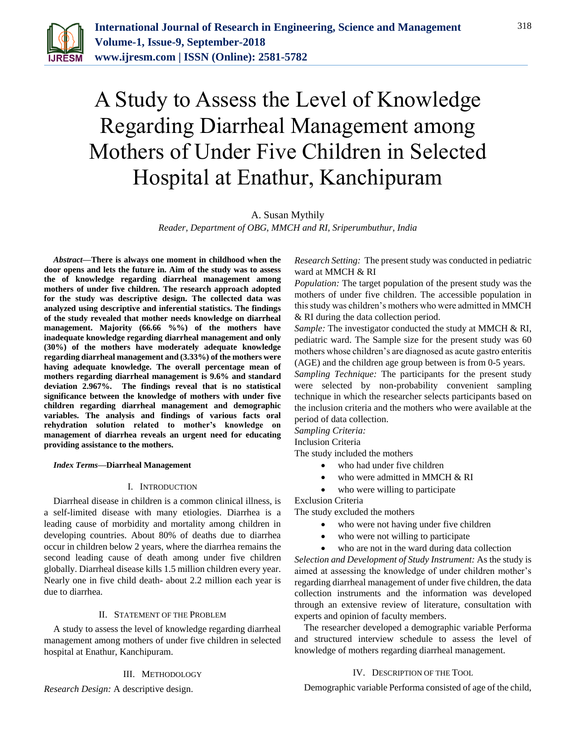

# A Study to Assess the Level of Knowledge Regarding Diarrheal Management among Mothers of Under Five Children in Selected Hospital at Enathur, Kanchipuram

# A. Susan Mythily

*Reader, Department of OBG, MMCH and RI, Sriperumbuthur, India*

*Abstract***—There is always one moment in childhood when the door opens and lets the future in. Aim of the study was to assess the of knowledge regarding diarrheal management among mothers of under five children. The research approach adopted for the study was descriptive design. The collected data was analyzed using descriptive and inferential statistics. The findings of the study revealed that mother needs knowledge on diarrheal management. Majority (66.66 %%) of the mothers have inadequate knowledge regarding diarrheal management and only (30%) of the mothers have moderately adequate knowledge regarding diarrheal management and (3.33%) of the mothers were having adequate knowledge. The overall percentage mean of mothers regarding diarrheal management is 9.6% and standard deviation 2.967%. The findings reveal that is no statistical significance between the knowledge of mothers with under five children regarding diarrheal management and demographic variables. The analysis and findings of various facts oral rehydration solution related to mother's knowledge on management of diarrhea reveals an urgent need for educating providing assistance to the mothers.**

## *Index Terms***—Diarrheal Management**

# I. INTRODUCTION

Diarrheal disease in children is a common clinical illness, is a self-limited disease with many etiologies. Diarrhea is a leading cause of morbidity and mortality among children in developing countries. About 80% of deaths due to diarrhea occur in children below 2 years, where the diarrhea remains the second leading cause of death among under five children globally. Diarrheal disease kills 1.5 million children every year. Nearly one in five child death- about 2.2 million each year is due to diarrhea.

# II. STATEMENT OF THE PROBLEM

A study to assess the level of knowledge regarding diarrheal management among mothers of under five children in selected hospital at Enathur, Kanchipuram.

III. METHODOLOGY

*Research Design:* A descriptive design.

*Research Setting:* The present study was conducted in pediatric ward at MMCH & RI

*Population:* The target population of the present study was the mothers of under five children. The accessible population in this study was children's mothers who were admitted in MMCH & RI during the data collection period.

*Sample:* The investigator conducted the study at MMCH & RI, pediatric ward. The Sample size for the present study was 60 mothers whose children's are diagnosed as acute gastro enteritis (AGE) and the children age group between is from 0-5 years.

*Sampling Technique:* The participants for the present study were selected by non-probability convenient sampling technique in which the researcher selects participants based on the inclusion criteria and the mothers who were available at the period of data collection.

*Sampling Criteria:*

Inclusion Criteria

The study included the mothers

- who had under five children
- who were admitted in MMCH & RI
- who were willing to participate

Exclusion Criteria

The study excluded the mothers

- who were not having under five children
- who were not willing to participate
- who are not in the ward during data collection

*Selection and Development of Study Instrument:* As the study is aimed at assessing the knowledge of under children mother's regarding diarrheal management of under five children, the data collection instruments and the information was developed through an extensive review of literature, consultation with experts and opinion of faculty members.

The researcher developed a demographic variable Performa and structured interview schedule to assess the level of knowledge of mothers regarding diarrheal management.

# IV. DESCRIPTION OF THE TOOL

Demographic variable Performa consisted of age of the child,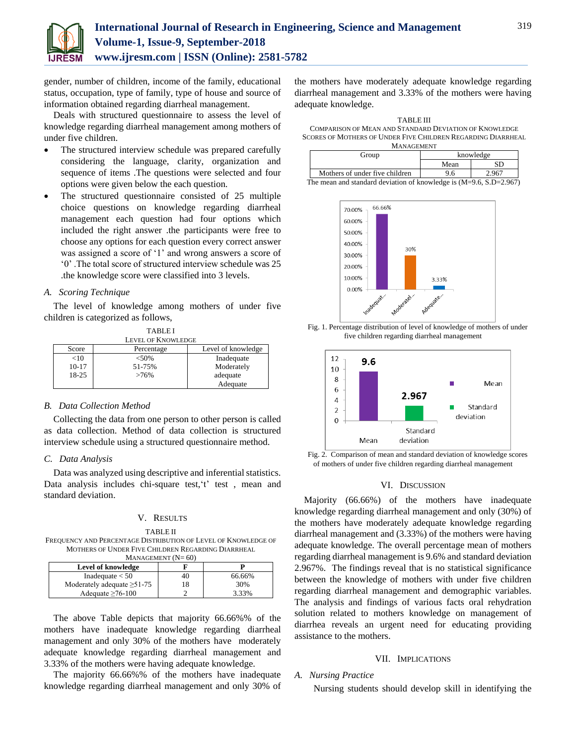

gender, number of children, income of the family, educational status, occupation, type of family, type of house and source of information obtained regarding diarrheal management.

Deals with structured questionnaire to assess the level of knowledge regarding diarrheal management among mothers of under five children.

- The structured interview schedule was prepared carefully considering the language, clarity, organization and sequence of items .The questions were selected and four options were given below the each question.
- The structured questionnaire consisted of 25 multiple choice questions on knowledge regarding diarrheal management each question had four options which included the right answer .the participants were free to choose any options for each question every correct answer was assigned a score of '1' and wrong answers a score of '0' .The total score of structured interview schedule was 25 .the knowledge score were classified into 3 levels.

# *A. Scoring Technique*

The level of knowledge among mothers of under five children is categorized as follows, TABLE I

| TABLE I                   |            |                    |  |  |
|---------------------------|------------|--------------------|--|--|
| <b>LEVEL OF KNOWLEDGE</b> |            |                    |  |  |
| Score                     | Percentage | Level of knowledge |  |  |
| $<$ 10                    | < 50%      | Inadequate         |  |  |
| $10-17$                   | 51-75%     | Moderately         |  |  |
| 18-25                     | $>76\%$    | adequate           |  |  |
|                           |            | Adequate           |  |  |

#### *B. Data Collection Method*

Collecting the data from one person to other person is called as data collection. Method of data collection is structured interview schedule using a structured questionnaire method.

## *C. Data Analysis*

Data was analyzed using descriptive and inferential statistics. Data analysis includes chi-square test,'t' test , mean and standard deviation.

#### V. RESULTS

TABLE II FREQUENCY AND PERCENTAGE DISTRIBUTION OF LEVEL OF KNOWLEDGE OF MOTHERS OF UNDER FIVE CHILDREN REGARDING DIARRHEAL  $M$ ANAGEMENT  $(N=60)$ 

| Level of knowledge               |    |        |  |  |
|----------------------------------|----|--------|--|--|
| Inadequate $<$ 50                | 40 | 66.66% |  |  |
| Moderately adequate $\geq 51-75$ | 18 | 30%    |  |  |
| Adequate $\geq 76-100$           |    | 3.33%  |  |  |

The above Table depicts that majority 66.66%% of the mothers have inadequate knowledge regarding diarrheal management and only 30% of the mothers have moderately adequate knowledge regarding diarrheal management and 3.33% of the mothers were having adequate knowledge.

The majority 66.66%% of the mothers have inadequate knowledge regarding diarrheal management and only 30% of

the mothers have moderately adequate knowledge regarding diarrheal management and 3.33% of the mothers were having adequate knowledge.

TABLE III COMPARISON OF MEAN AND STANDARD DEVIATION OF KNOWLEDGE SCORES OF MOTHERS OF UNDER FIVE CHILDREN REGARDING DIARRHEAL MANAGEMENT

| Group                                                                | knowledge |       |  |  |
|----------------------------------------------------------------------|-----------|-------|--|--|
|                                                                      | Mean      | SD    |  |  |
| Mothers of under five children                                       | 9.6       | 2.967 |  |  |
| The mean and standard deviation of knowledge is $(M=9.6, S.D=2.967)$ |           |       |  |  |







Fig. 2. Comparison of mean and standard deviation of knowledge scores of mothers of under five children regarding diarrheal management

#### VI. DISCUSSION

Majority (66.66%) of the mothers have inadequate knowledge regarding diarrheal management and only (30%) of the mothers have moderately adequate knowledge regarding diarrheal management and (3.33%) of the mothers were having adequate knowledge. The overall percentage mean of mothers regarding diarrheal management is 9.6% and standard deviation 2.967%. The findings reveal that is no statistical significance between the knowledge of mothers with under five children regarding diarrheal management and demographic variables. The analysis and findings of various facts oral rehydration solution related to mothers knowledge on management of diarrhea reveals an urgent need for educating providing assistance to the mothers.

## VII. IMPLICATIONS

## *A. Nursing Practice*

Nursing students should develop skill in identifying the